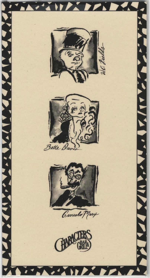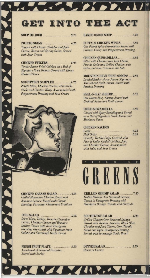# GET INTO THE ACT

 $\mathcal{L} = \mathcal{L} \times \mathcal{L}$ 

# **SOUP DU JOUR** 2.75

Topped with Classic Cheddar and Jack **Cheese**, Bacon and Spring Onion, Served with Sour Cream

Tender Batter-Fried Chicken on a Bed of **Signature Fried Onions, Served with Honey Mustard Sauce** 

**AND AND AND A** 

**THERE DED DAY** 

Potato Skins, Chicken Nachos, Mozzarella **Sticks and Chicken Wings Accompanied with** Peppercream Dressing and Sour Cream

**CHICKEN CAESAR SALAD ............... 6.95 Grilled Marinated Chicken Breast and** Romaine Lettuce Tossed with Caesar Dressing, Parmesan Cheese and Croûtons

Diced Ham, Turkey, Tomato, Cucumber, Carrot, Cheddar Cheese and Romaine Lettuce Tossed with Basil Vinaigrette Dressing, Garnished with Signature Fried Onions and Sourdough Garlic Bread

**FRESH FRUIT PLATE..................... 5.95 Assortment of Seasonal Favorites, Served with Sorbet** 

BAKED ONION SOUP 3.50

**BUFFALO CHICKEN WINGS ...........3.95 One Pound Spicy Drummettes Served with** Carrots, Celery and Peppercream Dressing

**CHICKEN QUESADILLAS..............4.95** Filled with Cheddar and Jack Cheese, Pico de Gallo and Grilled Chicken with **Salsa and Sour Cream on the Side** 

**MOUNTAIN HIGH FRIED ONIONS ... 2.95 Loaded Basket of our Savory Signature** Thin-Sliced Fried Onions, Served with **Russian Dressing** 

**PEEL-N-EAT SHRIMP.** 5.75<br>One Dozen Spicy Shrimp Served with **Cocktail Sauce and Fresh Lemon** 

**Coated with Spicy Breading and Served** on a Bed of Signature Fried Onions and Marinara Sauce

## **CHICKEN NACHOS**

Crunchy Tortilla Chips Covered with Pico de Gallo, Grilled Chicken, Jack and Cheddar Cheese, Accompanied with Salsa and Sour Cream



**GRILLED SHRIMP SALAD .............7.25 Grilled Shrimp Over Seasonal Lettuce, Tossed in Vinaigrette Dressing with** Mandarin Orange, Tomato and Pinenuts

**Grilled Chicken Over Seasonal Lettuce** Tossed with Tomato, Avocado, Black Olive, Cheddar and Jack Cheese, Corn Tortilla **Strips and Dijon Vinaigrette Dressing, Served with Sourdough Garlic Bread** 

DINNER SALAD. 2.75 **House or Caesar** 

 $\overline{A}$   $\overline{A}$   $\overline{A}$   $\overline{A}$   $\overline{A}$   $\overline{A}$   $\overline{A}$   $\overline{A}$   $\overline{A}$   $\overline{A}$   $\overline{A}$   $\overline{A}$   $\overline{A}$   $\overline{A}$   $\overline{A}$   $\overline{A}$   $\overline{A}$   $\overline{A}$   $\overline{A}$   $\overline{A}$   $\overline{A}$   $\overline{A}$   $\overline{A}$   $\overline{A}$   $\overline{$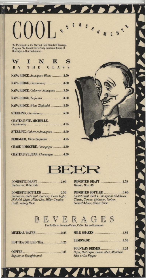We Participate in the Marriott Gold Standard Beverage Program. We Proudly Serve Only Premium Brands of Beverages in Our Restaurants.

 $\left(\begin{array}{c} \binom{n}{2} \end{array}\right)$ 

| WINES                               |  |  |  |
|-------------------------------------|--|--|--|
| BY THE GLASS                        |  |  |  |
| NAPA RIDGE, Sauvignon Blanc  2.50   |  |  |  |
| NAPA RIDGE, Chardonnay 3.50         |  |  |  |
| NAPA RIDGE, Cabernet Sauvignon 3.50 |  |  |  |
| NAPA RIDGE, Zinfandel3.00           |  |  |  |
| NAPA RIDGE, White Zinfandel3.50     |  |  |  |
| STERLING, Chardonnay 5.00           |  |  |  |
| <b>CHATEAU STE. MICHELLE,</b>       |  |  |  |
| STERLING, Cabernet Sauvignon 5.00   |  |  |  |
| BERINGER, White Zinfandel 4.25      |  |  |  |
| CHASE LIMOGERE, Champagne3.50       |  |  |  |
| CHATEAU ST. JEAN, Champagne  4.50   |  |  |  |





A REAL PROP. 1

**Budweiser, Miller Lite** 

DOMESTIC BOTTLED ..................2.50 Budweiser, Bud Light, Bud Dry, Coors Light, Michelob Light, Miller Lite, Miller Genuine Draft, Rolling Rock

IMPORTED DRAFT...........................2.75 Molson, Bass Ale

IMPORTED BOTTLED ...................3.00. Amstel Light, Beck's, Champions Clubhouse Classic, Corona, Heineken, Molson, Samuel Adams, Shiner Bock

BEVERAGES

Free Refills on Fountain Drinks, Coffee, Tea and Lemonade

|                                 | <b>MILK SHAKES</b> 1.95                                                                                 |
|---------------------------------|---------------------------------------------------------------------------------------------------------|
|                                 |                                                                                                         |
| <b>Regular or Decaffeinated</b> | <b>FOUNTAIN DRINKS</b> [1.25]<br>Pepsi, Diet Pepsi, Lemon Slice, Mandarin<br><b>Slice or Dr. Pepper</b> |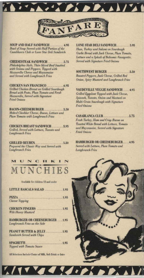

**APPEAL AND A DEALLY AND** 

SOUP AND HALF SANDWICH .............. 4.95 Bowl of Soup Served with Half Portion of the Casablanca Club or Lone Star Deli Sandwich

**CHEESESTEAK SANDWICH...............5.75** Philadelphia-Style, Thin-Sliced Beef Sautéed with Onions and Peppers, Topped with Mozzarella Cheese and Mayonnaise and Served with Longbranch Fries

**CHICKEN SAN FRANCISCO....** . . . . . . . . . . . 6.95 **Grilled Chicken Breast on Grilled Sourdough Bread with Pesto, Plum Tomato and Fresh** Mozzarella, Served with Signature **Fried Onions** 

BACON-CHEESEBURGER ......................5.50 Melted Cheddar Cheese, Bacon, Lettuce and Plum Tomato with Longbranch Fries

**CHICKEN BREAST SANDWICH............5.95** Grilled, Served with Lettuce, Tomato and **Longbranch Fries** 

Prepared the Classic Way and Served with **Longbranch Fries** 



Available for children 12 and under

| <b>LITTLE RASCALS SALAD</b> 1.95                                                                                                                            |
|-------------------------------------------------------------------------------------------------------------------------------------------------------------|
| <b>Cheese Topping</b>                                                                                                                                       |
| <b>CHICKEN FINGERS</b> 1.95<br>With Honey Mustard                                                                                                           |
| <b>HAMBURGER OR CHEESEBURGER  1.95</b><br>Longbranch Fries on the Side                                                                                      |
| PEANUT BUTTER & JELLY1.95<br><b>Sandwich Served with Chips</b>                                                                                              |
| <b>Topped with Tomato Sauce</b><br><b>RELEASED FOR DESIGNATION CONTINUES INTO A REPORT OF A STATISTIC CONTINUES INTO A REPORT OF A STATISTIC CONTINUES.</b> |

All Selections Include Choice of Milk, Soft Drink or Juice

Alty Valladie Kolek

**LONE STAR DELI SANDWICH............ 5.95** Ham, Turkey and Salami on Sourdough Garlic Bread with Jack Cheese, Plum Tomato, Lettuce and a Splash of Balsamic Vinaigrette, **Served with Signature Fried Onions** 

SOUTHWEST BURGER ........................5.50 Roasted Peppers, Jack Cheese, Grilled Red **Onion, Spicy Mustard and Longbranch Fries** 

**VAUDEVILLE VEGGIE SANDWICH ...... 4.95** Grilled Eggplant Topped with Jack Cheese, Spinach, Tomato, Onion and Mustard on Multi-Grain Sourdough with Signature **Fried Onions** 

Fresh Turkey; Ham and Crisp Bacon on Toasted White Bread with Lettuce, Tomato and Mayonnaise, Served with Signature **Fried Onions** 

**HAMBURGER OR CHEESEBURGER...... 4.95** Served with Lettuce, Plum Tomato and **Longbranch Fries** 

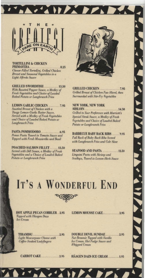

**NATIONAL** 

#### **TORTELLINI & CHICKEN** PRIMAVERA.

8.25 Cheese-Filled Tortellini, Grilled Chicken **Breast and Seasonal Vegetables in a Light Alfredo Sauce** 

**GRILLED SWORDFISH** ............ 13.50 With Roasted Pepper Sauce, a Medley of Fresh Vegetables and Choice of Loaded **Baked Potato or Longbranch Fries** 

**LEMON GARLIC CHICKEN ........... 7.95** Sautéed Breast of Chicken with a<br>Tangy Lemon-Garlic Butter Sauce, Served with a Medley of Fresh Vegetables and Choice of Loaded Baked Potato or **Longbranch Fries** 

PASTA POMMODORO ....................6.95 Penne Pasta Tossed in Tomato Sauce and Topped with Fresh Mozzarella and Basil

**POACHED SALMON FILLET ....... 13.50** Served with Dill Sauce, a Medley of Fresh Vegetables and a Choice of Loaded Baked Potato or Longbranch Fries



Grilled Breast of Chicken Fan-Sliced, then **Surrounded with Stir-Fry Vegetables** 

### **NEW YORK, NEW YORK SIRLOIN** 14.50 **Grilled to Your Preference with Marriott's** Special Steak Sauce, a Medley of Fresh

Vegetables and Choice of Loaded Baked Potato or Longbranch Fries

 $\sim$  0  $\sim$  /1  $\sim$   $\sim$ 

**NAVARIA** 

**BARBECUE BABY BACK RIBS ....... 9.95** Full Rack of Baby Back Ribs Served with Longbranch Fries and Cole Slaw

SEAFOOD AND PASTA ............... 12.50 Linguini Pasta with Shrimp and Scallops, Tossed in Lemon-Herb Sauce

# IT'S A WONDERFUL END

**HOT APPLE PECAN COBBLER..2.95** Topped with Häagen Dazs **Ice Cream** 

**LEMON MOUSSE CAKE...............2.95** 

TIRAMISU.........  $.2.95$ **Light Mascarpone Cheese with** Coffee-Soaked Ladyfingers

**CARROT CAKE** .................2.95

**DOUBLE DEVIL SUNDAE......**  $\ldots$  . 2.95 Nut Brownie Topped with Vanilla Ice Cream, Hot Fudge Sauce and **Whipped Cream** 

**HAAGEN DAZS ICE CREAM ...........1.95**